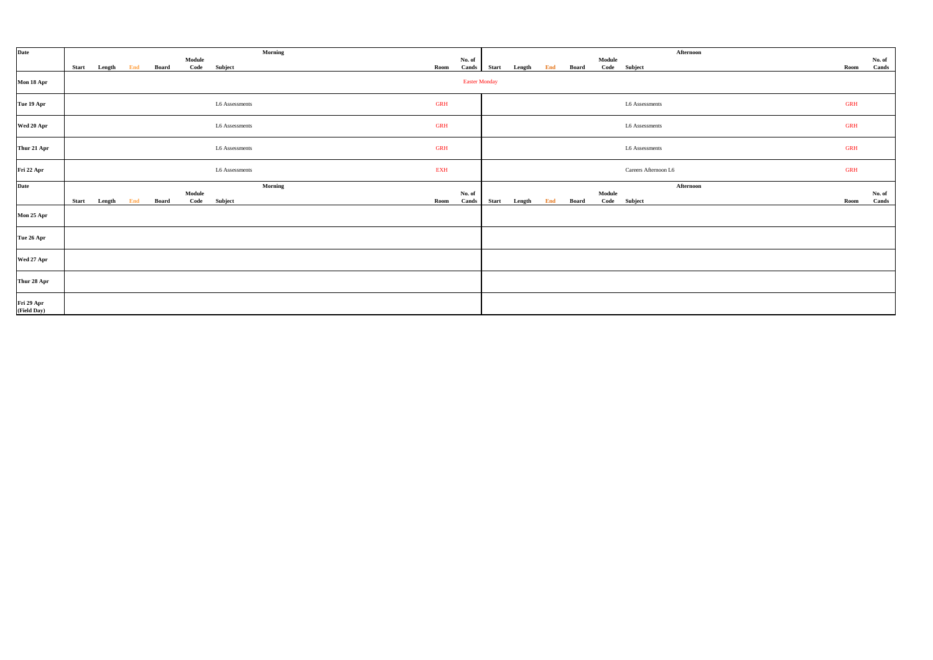| Date                      |              |        |     |       |                |                | Morning    |                      |              |        |     |       |        | Afternoon            |            |                 |
|---------------------------|--------------|--------|-----|-------|----------------|----------------|------------|----------------------|--------------|--------|-----|-------|--------|----------------------|------------|-----------------|
|                           | <b>Start</b> | Length | End | Board | Module<br>Code | Subject        | Room       | No. of<br>Cands      | <b>Start</b> | Length | End | Board | Module | Code Subject         | Room       | No. of<br>Cands |
| Mon 18 Apr                |              |        |     |       |                |                |            | <b>Easter Monday</b> |              |        |     |       |        |                      |            |                 |
| Tue 19 Apr                |              |        |     |       |                | L6 Assessments | <b>GRH</b> |                      |              |        |     |       |        | L6 Assessments       | <b>GRH</b> |                 |
| Wed 20 Apr                |              |        |     |       |                | L6 Assessments | <b>GRH</b> |                      |              |        |     |       |        | L6 Assessments       | <b>GRH</b> |                 |
| Thur 21 Apr               |              |        |     |       |                | L6 Assessments | <b>GRH</b> |                      |              |        |     |       |        | L6 Assessments       | <b>GRH</b> |                 |
| Fri 22 Apr                |              |        |     |       |                | L6 Assessments | <b>EXH</b> |                      |              |        |     |       |        | Careers Afternoon L6 | <b>GRH</b> |                 |
| Date                      |              |        |     |       |                |                | Morning    |                      |              |        |     |       |        | Afternoon            |            |                 |
|                           | <b>Start</b> | Length | End | Board | Module<br>Code | Subject        | Room       | No. of<br>Cands      | <b>Start</b> | Length | End | Board | Module | Code Subject         | Room       | No. of<br>Cands |
| Mon 25 Apr                |              |        |     |       |                |                |            |                      |              |        |     |       |        |                      |            |                 |
| Tue 26 Apr                |              |        |     |       |                |                |            |                      |              |        |     |       |        |                      |            |                 |
| Wed 27 Apr                |              |        |     |       |                |                |            |                      |              |        |     |       |        |                      |            |                 |
| Thur 28 Apr               |              |        |     |       |                |                |            |                      |              |        |     |       |        |                      |            |                 |
| Fri 29 Apr<br>(Field Day) |              |        |     |       |                |                |            |                      |              |        |     |       |        |                      |            |                 |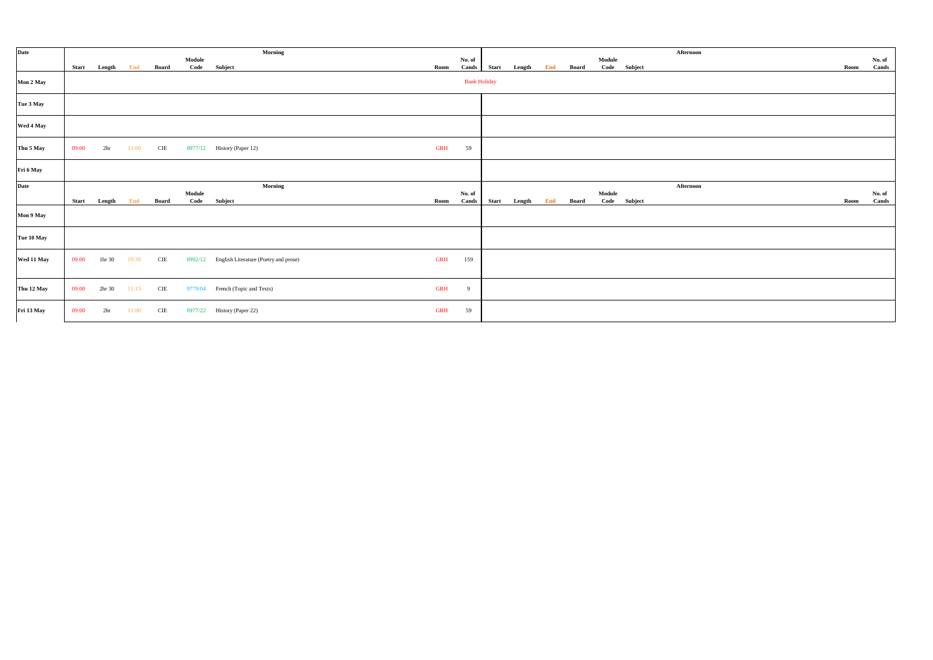| Date       |       |                    |       |              |                | Morning                                       |            |                     |              |        |     |              |                |              | Afternoon |      |                 |
|------------|-------|--------------------|-------|--------------|----------------|-----------------------------------------------|------------|---------------------|--------------|--------|-----|--------------|----------------|--------------|-----------|------|-----------------|
|            | Start | Length             | End   | <b>Board</b> | Module<br>Code | Subject                                       | Room       | No. of<br>Cands     | <b>Start</b> | Length | End | Board        | Module         | Code Subject |           | Room | No. of<br>Cands |
| Mon 2 May  |       |                    |       |              |                |                                               |            | <b>Bank Holiday</b> |              |        |     |              |                |              |           |      |                 |
| Tue 3 May  |       |                    |       |              |                |                                               |            |                     |              |        |     |              |                |              |           |      |                 |
| Wed 4 May  |       |                    |       |              |                |                                               |            |                     |              |        |     |              |                |              |           |      |                 |
| Thu 5 May  | 09:00 | 2 <sub>hr</sub>    | 11:00 | $\rm CIE$    |                | 0977/12 History (Paper 12)                    | <b>GRH</b> | 59                  |              |        |     |              |                |              |           |      |                 |
| Fri 6 May  |       |                    |       |              |                |                                               |            |                     |              |        |     |              |                |              |           |      |                 |
| Date       |       |                    |       |              | Module         | Morning                                       |            | No. of              |              |        |     |              |                |              | Afternoon |      | No. of          |
|            | Start | Length             | End   | Board        | Code           | Subject                                       | Room       | Cands               | Start        | Length | End | <b>Board</b> | Module<br>Code | Subject      |           | Room | Cands           |
| Mon 9 May  |       |                    |       |              |                |                                               |            |                     |              |        |     |              |                |              |           |      |                 |
| Tue 10 May |       |                    |       |              |                |                                               |            |                     |              |        |     |              |                |              |           |      |                 |
| Wed 11 May | 09:00 | 1hr 30             | 10:30 | CIE          |                | 0992/12 English Literature (Poetry and prose) | <b>GRH</b> | 159                 |              |        |     |              |                |              |           |      |                 |
| Thu 12 May | 09:00 | 2 <sup>hr</sup> 30 | 11:15 | CIE          | 9779/04        | French (Topic and Texts)                      | <b>GRH</b> | 9                   |              |        |     |              |                |              |           |      |                 |
| Fri 13 May | 09:00 | 2 <sub>hr</sub>    | 11:00 | CIE          | 0977/22        | History (Paper 22)                            | <b>GRH</b> | 59                  |              |        |     |              |                |              |           |      |                 |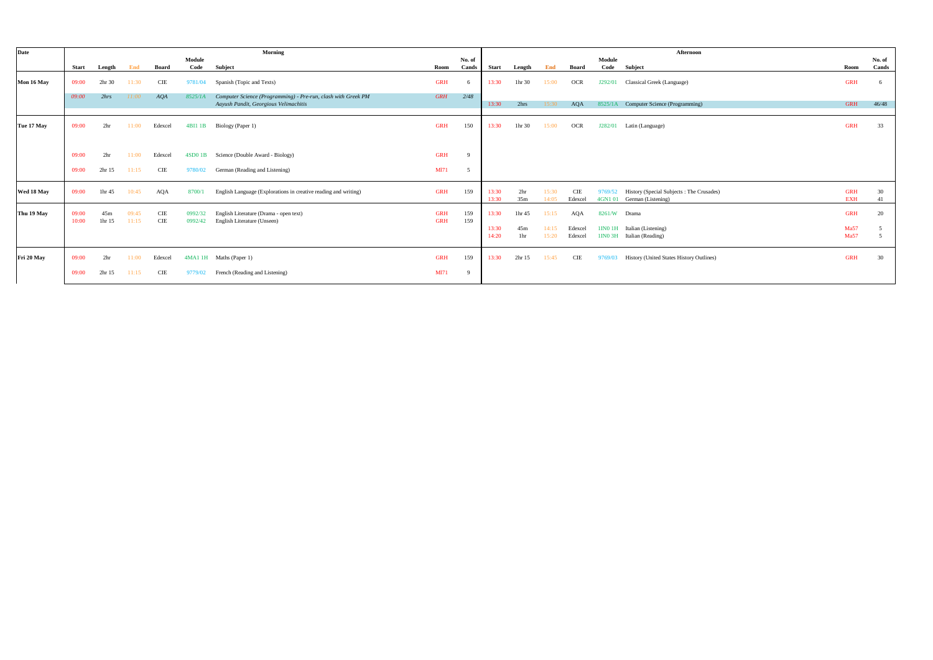| Date       |                |                           |                |                   |                    | Morning                                                                                                |                          |                 |              |                    |       |            |                | Afternoon                                |             |                 |
|------------|----------------|---------------------------|----------------|-------------------|--------------------|--------------------------------------------------------------------------------------------------------|--------------------------|-----------------|--------------|--------------------|-------|------------|----------------|------------------------------------------|-------------|-----------------|
|            | <b>Start</b>   |                           | End            | Board             | Module<br>Code     | Subject                                                                                                | Room                     | No. of<br>Cands | <b>Start</b> | Length             | End   | Board      | Module<br>Code | Subject                                  | Room        | No. of<br>Cands |
|            |                | Length                    |                |                   |                    |                                                                                                        |                          |                 |              |                    |       |            |                |                                          |             |                 |
| Mon 16 May | 09:00          | 2hr 30                    | 11:30          | CIE               | 9781/04            | Spanish (Topic and Texts)                                                                              | <b>GRH</b>               | 6               | 13:30        | 1 <sup>hr</sup> 30 | 15:00 | <b>OCR</b> | J292/01        | Classical Greek (Language)               | <b>GRH</b>  |                 |
|            | 09:00          | 2hrs                      | 11:00          | AQA               | 8525/1A            | Computer Science (Programming) - Pre-run, clash with Greek PM<br>Aayush Pandit, Georgious Velimachitis | <b>GRH</b>               | 2/48            | 13:30        | 2hrs               | 15:30 | AQA        |                | 8525/1A Computer Science (Programming)   | <b>GRH</b>  | 46/48           |
|            |                |                           |                |                   |                    |                                                                                                        |                          |                 |              |                    |       |            |                |                                          |             |                 |
| Tue 17 May | 09:00          | 2 <sub>hr</sub>           | 11:00          | Edexcel           | 4BI1 1B            | Biology (Paper 1)                                                                                      | <b>GRH</b>               | 150             | 13:30        | 1hr 30             | 15:00 | <b>OCR</b> | J282/01        | Latin (Language)                         | <b>GRH</b>  | 33              |
|            |                |                           |                |                   |                    |                                                                                                        |                          |                 |              |                    |       |            |                |                                          |             |                 |
|            | 09:00          | 2 <sub>hr</sub>           | 11:00          | Edexcel           | 4SD0 1B            | Science (Double Award - Biology)                                                                       | <b>GRH</b>               | $\mathbf Q$     |              |                    |       |            |                |                                          |             |                 |
|            | 09:00          | 2hr 15                    | 11:15          | CIE               | 9780/02            | German (Reading and Listening)                                                                         | <b>M171</b>              | 5               |              |                    |       |            |                |                                          |             |                 |
| Wed 18 May | 09:00          | 1hr 45                    | 10:45          | AQA               | 8700/1             | English Language (Explorations in creative reading and writing)                                        | <b>GRH</b>               | 159             | 13:30        | 2 <sub>hr</sub>    | 15:30 | <b>CIE</b> | 9769/52        | History (Special Subjects: The Crusades) | <b>GRH</b>  | 30              |
|            |                |                           |                |                   |                    |                                                                                                        |                          |                 | 13:30        | 35m                | 14:05 | Edexcel    | 4GN1 01        | German (Listening)                       | <b>EXH</b>  | 41              |
| Thu 19 May | 09:00<br>10:00 | 45m<br>1 <sup>hr</sup> 15 | 09:45<br>11:15 | <b>CIE</b><br>CIE | 0992/32<br>0992/42 | English Literature (Drama - open text)<br>English Literature (Unseen)                                  | <b>GRH</b><br><b>GRH</b> | 159<br>159      | 13:30        | 1hr 45             | 15:15 | AQA        | 8261/W Drama   |                                          | <b>GRH</b>  | 20              |
|            |                |                           |                |                   |                    |                                                                                                        |                          |                 | 13:30        | 45m                | 14:15 | Edexcel    | 1IN0 1H        | Italian (Listening)                      | Ma57        |                 |
|            |                |                           |                |                   |                    |                                                                                                        |                          |                 | 14:20        | 1hr                | 15:20 | Edexcel    | 1IN0 3H        | Italian (Reading)                        | <b>Ma57</b> |                 |
| Fri 20 May | 09:00          | 2 <sub>hr</sub>           | 11:00          | Edexcel           |                    | 4MA1 1H Maths (Paper 1)                                                                                | <b>GRH</b>               | 159             | 13:30        | 2hr 15             | 15:45 | CIE        | 9769/03        | History (United States History Outlines) | <b>GRH</b>  | 30              |
|            | 09:00          | 2hr 15                    | 11:15          | CIE               | 9779/02            | French (Reading and Listening)                                                                         | <b>M171</b>              | 9               |              |                    |       |            |                |                                          |             |                 |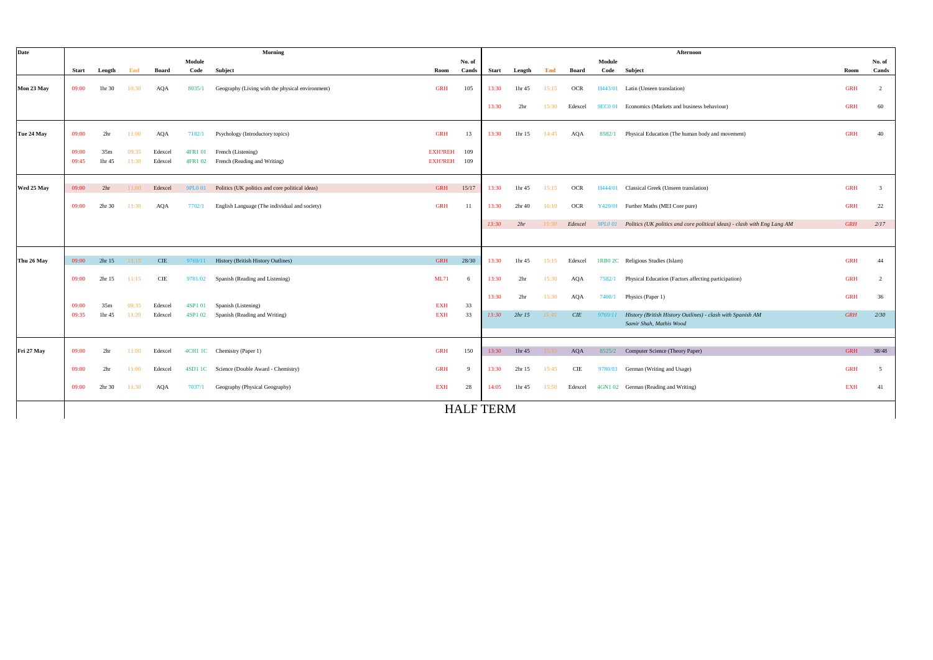| Date       |              |                 |       |            |               | Morning                                          |                |        |                  |                    |       |            |         | Afternoon                                                                             |            |                |
|------------|--------------|-----------------|-------|------------|---------------|--------------------------------------------------|----------------|--------|------------------|--------------------|-------|------------|---------|---------------------------------------------------------------------------------------|------------|----------------|
|            |              |                 |       |            | Module        |                                                  |                | No. of |                  |                    |       |            | Module  |                                                                                       |            | No. of         |
|            | <b>Start</b> | Length          | End   | Board      | Code          | Subject                                          | Room           | Cands  | <b>Start</b>     | Length             | End   | Board      |         | Code Subject                                                                          | Room       | Cands          |
| Mon 23 May | 09:00        | 1hr 30          | 10:30 | AQA        | 8035/1        | Geography (Living with the physical environment) | <b>GRH</b>     | 105    | 13:30            | 1hr 45             | 15:15 | <b>OCR</b> |         | H443/01 Latin (Unseen translation)                                                    | <b>GRH</b> | $\overline{c}$ |
|            |              |                 |       |            |               |                                                  |                |        | 13:30            | 2 <sub>hr</sub>    | 15:30 | Edexcel    |         | 9EC0 01 Economics (Markets and business behaviour)                                    | <b>GRH</b> | 60             |
| Tue 24 May | 09:00        | 2 <sub>hr</sub> | 11:00 | AQA        | 7182/1        | Psychology (Introductory topics)                 | <b>GRH</b>     | 13     | 13:30            | 1hr 15             | 14:45 | AQA        | 8582/1  | Physical Education (The human body and movement)                                      | <b>GRH</b> | 40             |
|            | 09:00        | 35m             | 09:35 | Edexcel    | 4FR1 01       | French (Listening)                               | <b>EXH?REH</b> | 109    |                  |                    |       |            |         |                                                                                       |            |                |
|            | 09:45        | 1hr 45          | 11:30 | Edexcel    | 4FR1 02       | French (Reading and Writing)                     | <b>EXH?REH</b> | 109    |                  |                    |       |            |         |                                                                                       |            |                |
|            |              |                 |       |            |               |                                                  |                |        |                  |                    |       |            |         |                                                                                       |            |                |
| Wed 25 May | 09:00        | 2 <sub>hr</sub> | 11:00 | Edexcel    | <b>9PL001</b> | Politics (UK politics and core political ideas)  | <b>GRH</b>     | 15/17  | 13:30            | 1hr 45             | 15:15 | OCR        |         | H444/01 Classical Greek (Unseen translation)                                          | <b>GRH</b> | $\overline{3}$ |
|            | 09:00        | 2hr 30          | 11:30 | <b>AQA</b> | 7702/1        | English Language (The individual and society)    | <b>GRH</b>     | -11    | 13:30            | 2 <sup>hr</sup> 40 | 16:10 | <b>OCR</b> | Y420/01 | Further Maths (MEI Core pure)                                                         | <b>GRH</b> | $22\,$         |
|            |              |                 |       |            |               |                                                  |                |        | 13:30            | 2hr                | 15:30 | Edexcel    |         | 9PL0 01 Politics (UK politics and core political ideas) - clash with Eng Lang AM      | <b>GRH</b> | 2/17           |
|            |              |                 |       |            |               |                                                  |                |        |                  |                    |       |            |         |                                                                                       |            |                |
| Thu 26 May | 09:00        | 2hr 15          | 11:15 | <b>CIE</b> | 9769/11       | History (British History Outlines)               | <b>GRH</b>     | 28/30  | 13:30            | 1hr 45             | 15:15 | Edexcel    |         | 1RB0 2C Religious Studies (Islam)                                                     | <b>GRH</b> | 44             |
|            | 09:00        | 2hr 15          | 11:15 | $\rm CIE$  | 9781/02       | Spanish (Reading and Listening)                  | <b>ML71</b>    |        | 13:30            | 2 <sub>hr</sub>    | 15:30 | AQA        | 7582/1  | Physical Education (Factors affecting participation)                                  | <b>GRH</b> | 2              |
|            |              |                 |       |            |               |                                                  |                |        | 13:30            | 2 <sub>hr</sub>    | 15:30 | AQA        | 7408/1  | Physics (Paper 1)                                                                     | <b>GRH</b> | 36             |
|            | 09:00        | 35m             | 09:35 | Edexcel    | 4SP1 01       | Spanish (Listening)                              | <b>EXH</b>     | 33     |                  |                    |       |            |         |                                                                                       |            |                |
|            | 09:35        | 1hr 45          | 11:20 | Edexcel    | 4SP1 02       | Spanish (Reading and Writing)                    | <b>EXH</b>     | 33     | 13:30            | 2hr15              | 15:45 | $CIE$      | 9769/11 | History (British History Outlines) - clash with Spanish AM<br>Samir Shah, Mathis Wood | <b>GRH</b> | 2/30           |
|            |              |                 |       |            |               |                                                  |                |        |                  |                    |       |            |         |                                                                                       |            |                |
| Fri 27 May | 09:00        | 2 <sub>hr</sub> | 11:00 | Edexcel    |               | 4CH1 1C Chemistry (Paper 1)                      | <b>GRH</b>     | 150    | 13:30            | 1hr 45             | 15:15 | AQA        |         | 8525/2 Computer Science (Theory Paper)                                                | <b>GRH</b> | 38/48          |
|            | 09:00        | 2 <sub>hr</sub> | 11:00 | Edexcel    |               | 4SD1 1C Science (Double Award - Chemistry)       | <b>GRH</b>     |        | 13:30            | 2hr 15             | 15:45 | CIE        | 9780/03 | German (Writing and Usage)                                                            | <b>GRH</b> | -5             |
|            | 09:00        | 2hr 30          | 11:30 | AQA        | 7037/1        | Geography (Physical Geography)                   | <b>EXH</b>     | 28     | 14:05            | 1hr 45             | 15:50 | Edexcel    |         | 4GN1 02 German (Reading and Writing)                                                  | <b>EXH</b> | 41             |
|            |              |                 |       |            |               |                                                  |                |        | <b>HALF TERM</b> |                    |       |            |         |                                                                                       |            |                |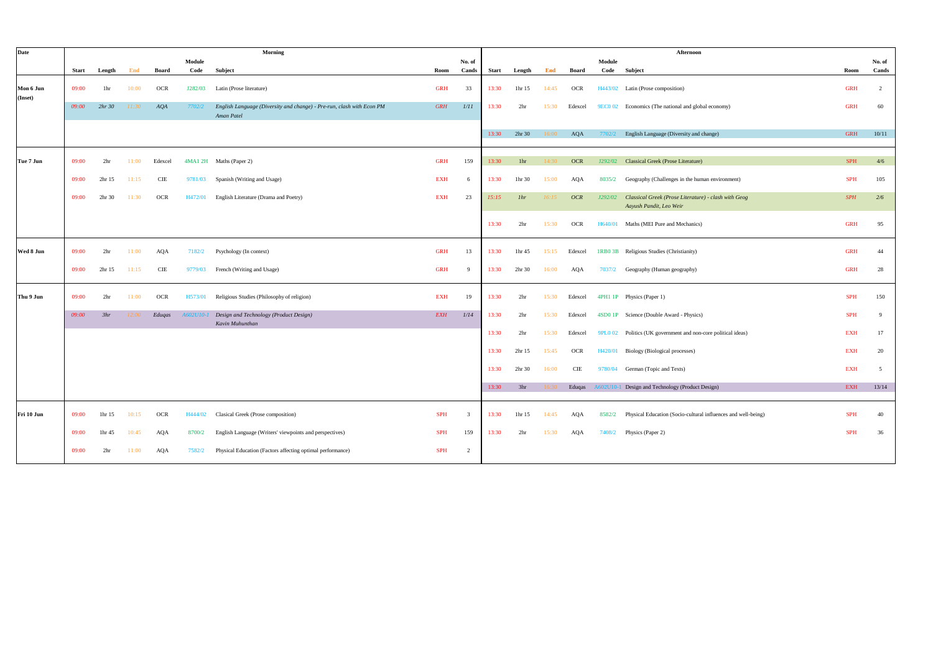| <b>Date</b>          |              |                 |       |            |           | Morning                                                                             |            |                         |       |                 |       |            |         | Afternoon                                                                       |            |                |
|----------------------|--------------|-----------------|-------|------------|-----------|-------------------------------------------------------------------------------------|------------|-------------------------|-------|-----------------|-------|------------|---------|---------------------------------------------------------------------------------|------------|----------------|
|                      |              |                 |       |            | Module    |                                                                                     |            | No. of                  |       |                 |       |            | Module  |                                                                                 |            | No. of         |
|                      | <b>Start</b> | Length          | End   | Board      | Code      | Subject                                                                             | Room       | Cands                   | Start | Length          | End   | Board      |         | Code Subject                                                                    | Room       | Cands          |
| Mon 6 Jun<br>(Inset) | 09:00        | 1hr             | 10:00 | OCR        | J282/03   | Latin (Prose literature)                                                            | <b>GRH</b> | 33                      | 13:30 | 1hr 15          | 14:45 | <b>OCR</b> |         | H443/02 Latin (Prose composition)                                               | <b>GRH</b> | $\overline{2}$ |
|                      | 09:00        | 2hr30           | 11:30 | AQA        | 7702/2    | English Language (Diversity and change) - Pre-run, clash with Econ PM<br>Aman Patel | <b>GRH</b> | 1/11                    | 13:30 | 2 <sub>hr</sub> | 15:30 | Edexcel    |         | 9EC0 02 Economics (The national and global economy)                             | <b>GRH</b> | 60             |
|                      |              |                 |       |            |           |                                                                                     |            |                         | 13:30 | 2hr 30          | 16:00 | AQA        | 7702/2  | English Language (Diversity and change)                                         | <b>GRH</b> | 10/11          |
| Tue 7 Jun            | 09:00        | 2 <sub>hr</sub> | 11:00 | Edexcel    |           | 4MA1 2H Maths (Paper 2)                                                             | <b>GRH</b> | 159                     | 13:30 | 1hr             | 14:30 | <b>OCR</b> | J292/02 | Classical Greek (Prose Literature)                                              | <b>SPH</b> | 4/6            |
|                      | 09:00        | 2hr 15          | 11:15 | CIE        | 9781/03   | Spanish (Writing and Usage)                                                         | <b>EXH</b> | 6                       | 13:30 | 1hr 30          | 15:00 | AQA        | 8035/2  | Geography (Challenges in the human environment)                                 | <b>SPH</b> | 105            |
|                      | 09:00        | 2hr 30          | 11:30 | <b>OCR</b> | H472/01   | English Literature (Drama and Poetry)                                               | <b>EXH</b> | 23                      | 15:15 | 1 <sup>hr</sup> | 16:15 | <b>OCR</b> | J292/02 | Classical Greek (Prose Literature) - clash with Geog<br>Aayush Pandit, Leo Weir | <b>SPH</b> | 2/6            |
|                      |              |                 |       |            |           |                                                                                     |            |                         | 13:30 | 2 <sub>hr</sub> | 15:30 | <b>OCR</b> | H640/01 | Maths (MEI Pure and Mechanics)                                                  | <b>GRH</b> | 95             |
| Wed 8 Jun            | 09:00        | 2 <sub>hr</sub> | 11:00 | AQA        | 7182/2    | Psychology (In context)                                                             | <b>GRH</b> | 13                      | 13:30 | 1hr 45          | 15:15 | Edexcel    | 1RB0 3B | Religious Studies (Christianity)                                                | <b>GRH</b> | 44             |
|                      | 09:00        | 2hr 15          | 11:15 | CIE        | 9779/03   | French (Writing and Usage)                                                          | <b>GRH</b> | -9                      | 13:30 | 2hr 30          | 16:00 | AQA        | 7037/2  | Geography (Human geography)                                                     | <b>GRH</b> | 28             |
| Thu 9 Jun            | 09:00        | 2 <sub>hr</sub> | 11:00 | <b>OCR</b> | H573/01   | Religious Studies (Philosophy of religion)                                          | <b>EXH</b> | 19                      | 13:30 | 2 <sub>hr</sub> | 15:30 | Edexcel    |         | 4PH1 1P Physics (Paper 1)                                                       | <b>SPH</b> | 150            |
|                      | 09:00        | 3hr             | 12:00 | Eduqas     | A602U10-1 | Design and Technology (Product Design)<br>Kavin Muhunthan                           | <b>EXH</b> | 1/14                    | 13:30 | 2 <sub>hr</sub> | 15:30 | Edexcel    |         | 4SD0 1P Science (Double Award - Physics)                                        | <b>SPH</b> | - 9            |
|                      |              |                 |       |            |           |                                                                                     |            |                         | 13:30 | 2 <sub>hr</sub> | 15:30 | Edexcel    |         | 9PL0 02 Politics (UK government and non-core political ideas)                   | <b>EXH</b> | 17             |
|                      |              |                 |       |            |           |                                                                                     |            |                         | 13:30 | 2hr 15          | 15:45 | <b>OCR</b> | H420/01 | Biology (Biological processes)                                                  | <b>EXH</b> | 20             |
|                      |              |                 |       |            |           |                                                                                     |            |                         | 13:30 | 2hr 30          | 16:00 | CIE        | 9780/04 | German (Topic and Texts)                                                        | <b>EXH</b> | -5             |
|                      |              |                 |       |            |           |                                                                                     |            |                         | 13:30 | 3hr             | 16:30 | Eduqas     |         | A602U10-1 Design and Technology (Product Design)                                | <b>EXH</b> | 13/14          |
| Fri 10 Jun           | 09:00        | 1hr 15          | 10:15 | OCR        | H444/02   | Clasical Greek (Prose composition)                                                  | <b>SPH</b> | $\overline{\mathbf{3}}$ | 13:30 | 1hr 15          | 14:45 | AQA        | 8582/2  | Physical Education (Socio-cultural influences and well-being)                   | <b>SPH</b> | 40             |
|                      | 09:00        | 1hr 45          | 10:45 | AQA        | 8700/2    | English Language (Writers' viewpoints and perspectives)                             | <b>SPH</b> | 159                     | 13:30 | 2 <sub>hr</sub> | 15:30 | AQA        | 7408/2  | Physics (Paper 2)                                                               | <b>SPH</b> | 36             |
|                      | 09:00        | 2 <sub>hr</sub> | 11:00 | AQA        | 7582/2    | Physical Education (Factors affecting optimal performance)                          | <b>SPH</b> | 2                       |       |                 |       |            |         |                                                                                 |            |                |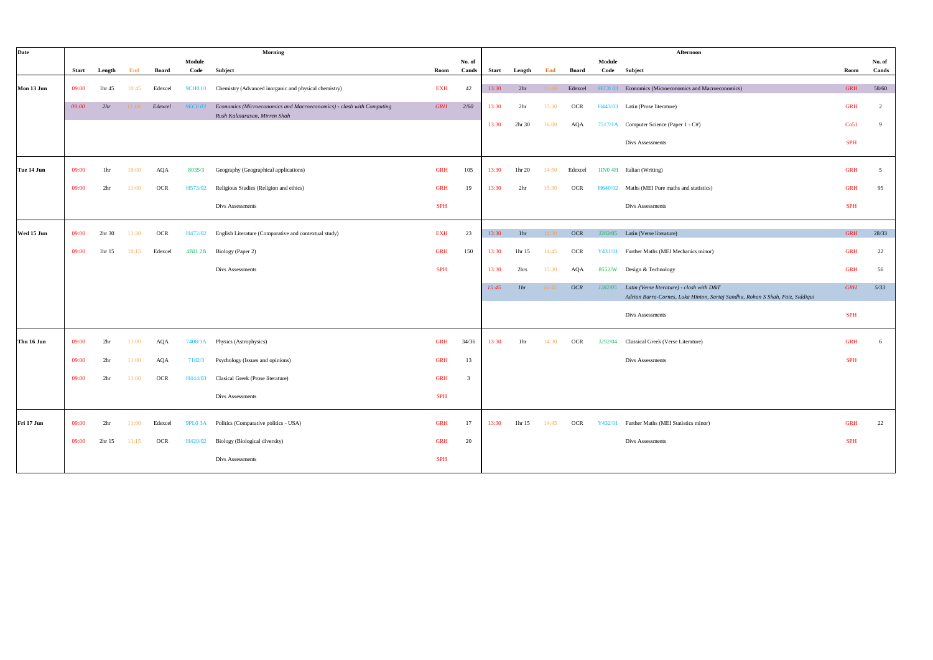| Date       |              |                 |       |            |                | Morning                                                                                               |            |                         |       |                 |       |            |                | Afternoon                                                                                                                  |            |                 |
|------------|--------------|-----------------|-------|------------|----------------|-------------------------------------------------------------------------------------------------------|------------|-------------------------|-------|-----------------|-------|------------|----------------|----------------------------------------------------------------------------------------------------------------------------|------------|-----------------|
|            | <b>Start</b> |                 | End   | Board      | Module<br>Code |                                                                                                       | Room       | No. of<br>Cands         | Start | Length          | End   | Board      | Module<br>Code |                                                                                                                            | Room       | No. of<br>Cands |
|            |              | Length          |       |            |                | Subject                                                                                               |            |                         |       |                 |       |            |                | Subject                                                                                                                    |            |                 |
| Mon 13 Jun | 09:00        | 1hr 45          | 10:45 | Edexcel    | <b>9CHO01</b>  | Chemistry (Advanced inorganic and physical chemistry)                                                 | <b>EXH</b> | 42                      | 13:30 | 2 <sub>hr</sub> | 15:30 | Edexcel    | <b>9EC0 03</b> | Economics (Microeconomics and Macroeconomics)                                                                              | <b>GRH</b> | 58/60           |
|            | 09:00        | 2hr             | 11:00 | Edexcel    | <b>9ECO 03</b> | Economics (Microeconomics and Macroeconomics) - clash with Computing<br>Rush Kalaiarasan, Mirren Shah | <b>GRH</b> | 2/60                    | 13:30 | 2 <sub>hr</sub> | 15:30 | <b>OCR</b> | H443/03        | Latin (Prose literature)                                                                                                   | <b>GRH</b> | $\overline{2}$  |
|            |              |                 |       |            |                |                                                                                                       |            |                         | 13:30 | 2hr 30          | 16:00 | AQA        |                | 7517/1A Computer Science (Paper 1 - C#)                                                                                    | Co51       | $\mathbf{Q}$    |
|            |              |                 |       |            |                |                                                                                                       |            |                         |       |                 |       |            |                | Divs Assessments                                                                                                           | <b>SPH</b> |                 |
| Tue 14 Jun | 09:00        | 1hr             | 10:00 | AQA        | 8035/3         | Geography (Geographical applications)                                                                 | <b>GRH</b> | 105                     | 13:30 | 1hr 20          | 14:50 | Edexcel    |                | 1IN0 4H Italian (Writing)                                                                                                  | <b>GRH</b> | $\sim$          |
|            | 09:00        | 2 <sub>hr</sub> | 11:00 | OCR        | H573/02        | Religious Studies (Religion and ethics)                                                               | <b>GRH</b> | 19                      | 13:30 | 2 <sub>hr</sub> | 15:30 | <b>OCR</b> | H640/02        | Maths (MEI Pure maths and statistics)                                                                                      | <b>GRH</b> | 95              |
|            |              |                 |       |            |                | Divs Assessments                                                                                      | <b>SPH</b> |                         |       |                 |       |            |                | Divs Assessments                                                                                                           | <b>SPH</b> |                 |
| Wed 15 Jun | 09:00        | 2hr 30          | 11:30 | <b>OCR</b> | H472/02        | English Literature (Comparative and contextual study)                                                 | <b>EXH</b> | 23                      | 13:30 | 1hr             | 14:30 | <b>OCR</b> |                | J282/05 Latin (Verse literature)                                                                                           | <b>GRH</b> | 28/33           |
|            | 09:00        | 1hr 15          | 10:15 | Edexcel    | 4BI1 2B        | Biology (Paper 2)                                                                                     | <b>GRH</b> | 150                     | 13:30 | 1hr 15          | 14:45 | OCR        | Y431/01        | Further Maths (MEI Mechanics minor)                                                                                        | <b>GRH</b> | 22              |
|            |              |                 |       |            |                | Divs Assessments                                                                                      | <b>SPH</b> |                         | 13:30 | 2hrs            | 15:30 | AQA        |                | 8552/W Design & Technology                                                                                                 | <b>GRH</b> | 56              |
|            |              |                 |       |            |                |                                                                                                       |            |                         | 15:45 | 1 <sup>hr</sup> | 16:45 | <b>OCR</b> | J282/05        | Latin (Verse literature) - clash with D&T<br>Adrian Barra-Cornes, Luka Hinton, Sartaj Sandhu, Rohan S Shah, Faiz, Siddiqui | <b>GRH</b> | 5/33            |
|            |              |                 |       |            |                |                                                                                                       |            |                         |       |                 |       |            |                | Divs Assessments                                                                                                           | <b>SPH</b> |                 |
| Thu 16 Jun | 09:00        | 2 <sub>hr</sub> | 11:00 | AQA        | 7408/3A        | Physics (Astrophysics)                                                                                | <b>GRH</b> | 34/36                   | 13:30 | 1hr             | 14:30 | <b>OCR</b> | J292/04        | Classical Greek (Verse Literature)                                                                                         | <b>GRH</b> | 6               |
|            | 09:00        | 2 <sub>hr</sub> | 11:00 | AQA        | 7182/3         | Psychology (Issues and opinions)                                                                      | <b>GRH</b> | 13                      |       |                 |       |            |                | Divs Assessments                                                                                                           | <b>SPH</b> |                 |
|            | 09:00        | 2 <sub>hr</sub> | 11:00 | OCR        | H444/03        | Clasical Greek (Prose literature)                                                                     | <b>GRH</b> | $\overline{\mathbf{3}}$ |       |                 |       |            |                |                                                                                                                            |            |                 |
|            |              |                 |       |            |                | Divs Assessments                                                                                      | <b>SPH</b> |                         |       |                 |       |            |                |                                                                                                                            |            |                 |
| Fri 17 Jun | 09:00        | 2hr             | 11:00 | Edexcel    | <b>9PL0 3A</b> | Politics (Comparative politics - USA)                                                                 | <b>GRH</b> | 17                      | 13:30 | 1hr 15          | 14:45 | <b>OCR</b> | Y432/01        | Further Maths (MEI Statistics minor)                                                                                       | <b>GRH</b> | 22              |
|            | 09:00        | 2hr 15          | 11:15 | <b>OCR</b> | H420/02        | Biology (Biological diversity)                                                                        | <b>GRH</b> | 20                      |       |                 |       |            |                | Divs Assessments                                                                                                           | <b>SPH</b> |                 |
|            |              |                 |       |            |                | Divs Assessments                                                                                      | <b>SPH</b> |                         |       |                 |       |            |                |                                                                                                                            |            |                 |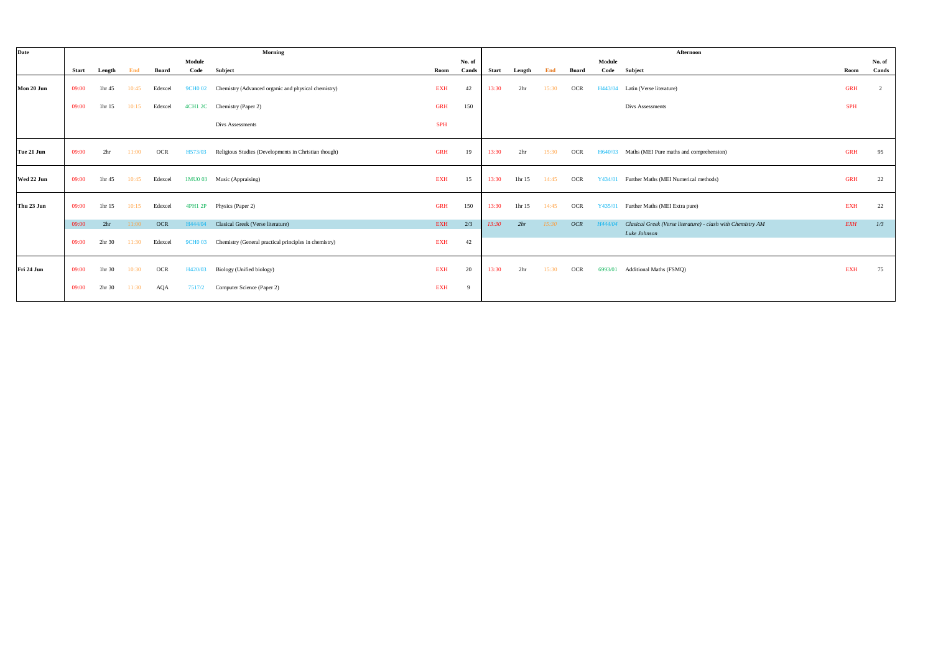| Date       |              |                 |       |            |               | Morning                                                     |            |        |       |                 |       |            |         | Afternoon                                                   |            |        |
|------------|--------------|-----------------|-------|------------|---------------|-------------------------------------------------------------|------------|--------|-------|-----------------|-------|------------|---------|-------------------------------------------------------------|------------|--------|
|            |              |                 |       |            | Module        |                                                             |            | No. of |       |                 |       |            | Module  |                                                             |            | No. of |
|            | <b>Start</b> | Length          | End   | Board      | Code          | Subject                                                     | Room       | Cands  | Start | Length          | End   | Board      |         | Code Subject                                                | Room       | Cands  |
| Mon 20 Jun | 09:00        | 1hr 45          | 10:45 | Edexcel    |               | 9CH0 02 Chemistry (Advanced organic and physical chemistry) | <b>EXH</b> | 42     | 13:30 | 2 <sub>hr</sub> | 15:30 | OCR        | H443/04 | Latin (Verse literature)                                    | <b>GRH</b> |        |
|            | 09:00        | 1hr 15          | 10:15 | Edexcel    |               | 4CH1 2C Chemistry (Paper 2)                                 | <b>GRH</b> | 150    |       |                 |       |            |         | Divs Assessments                                            | <b>SPH</b> |        |
|            |              |                 |       |            |               | Divs Assessments                                            | <b>SPH</b> |        |       |                 |       |            |         |                                                             |            |        |
| Tue 21 Jun | 09:00        | 2 <sub>hr</sub> | 11:00 | <b>OCR</b> | H573/03       | Religious Studies (Developments in Christian though)        | <b>GRH</b> | 19     | 13:30 | 2 <sub>hr</sub> | 15:30 | <b>OCR</b> | H640/03 | Maths (MEI Pure maths and comprehension)                    | <b>GRH</b> | 95     |
| Wed 22 Jun | 09:00        | 1hr 45          | 10:45 | Edexcel    |               | 1MU0 03 Music (Appraising)                                  | <b>EXH</b> | 15     | 13:30 | 1hr 15          | 14:45 | <b>OCR</b> | Y434/01 | Further Maths (MEI Numerical methods)                       | <b>GRH</b> | 22     |
| Thu 23 Jun | 09:00        | 1hr 15          | 10:15 | Edexcel    | 4PH1 2P       | Physics (Paper 2)                                           | <b>GRH</b> | 150    | 13:30 | 1hr 15          | 14:45 | OCR        | Y435/01 | Further Maths (MEI Extra pure)                              | <b>EXH</b> | 22     |
|            | 09:00        | 2 <sub>hr</sub> | 11:00 | <b>OCR</b> | H444/04       | Clasical Greek (Verse literature)                           | EXH        | 2/3    | 13:30 | 2hr             | 15:30 | OCR        | H444/04 | Clasical Greek (Verse literature) - clash with Chemistry AM | <b>EXH</b> | 1/3    |
|            | 09:00        | 2hr 30          | 11:30 | Edexcel    | <b>9CHO03</b> | Chemistry (General practical principles in chemistry)       | <b>EXH</b> | 42     |       |                 |       |            |         | Luke Johnson                                                |            |        |
| Fri 24 Jun | 09:00        | 1hr 30          | 10:30 | OCR        | H420/03       | Biology (Unified biology)                                   | <b>EXH</b> | 20     | 13:30 | 2 <sub>hr</sub> | 15:30 | <b>OCR</b> | 6993/01 | Additional Maths (FSMQ)                                     | <b>EXH</b> | 75     |
|            | 09:00        | 2hr 30          | 11:30 | AQA        | 7517/2        | Computer Science (Paper 2)                                  | EXH        | -9     |       |                 |       |            |         |                                                             |            |        |